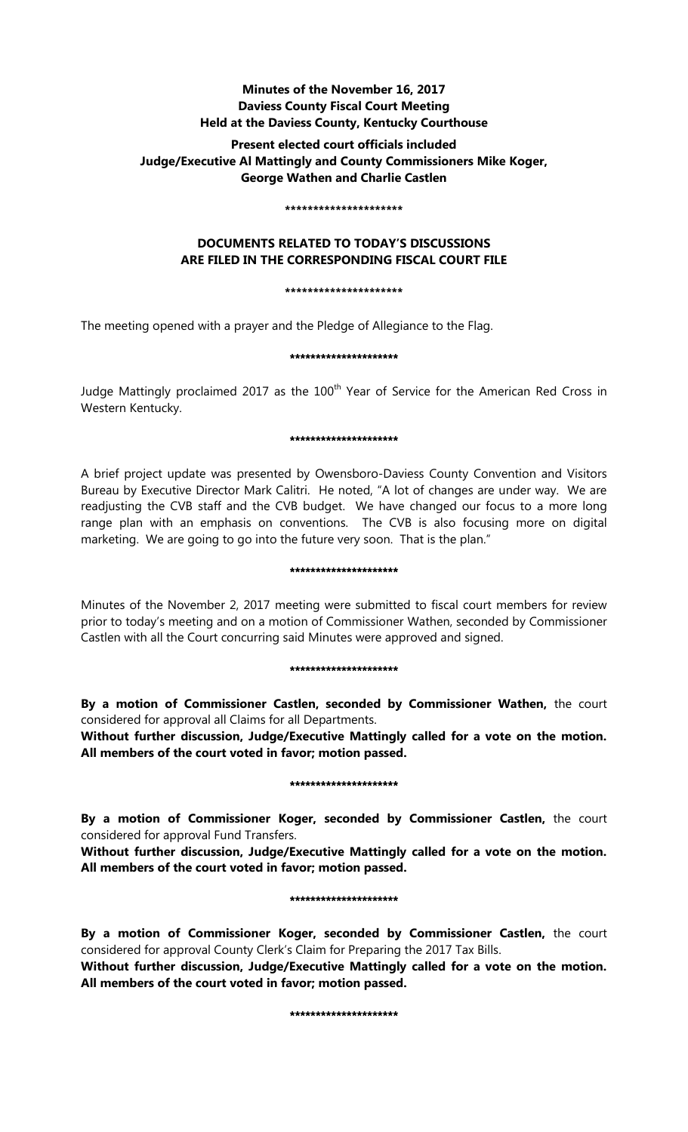# **Minutes of the November 16, 2017 Daviess County Fiscal Court Meeting Held at the Daviess County, Kentucky Courthouse**

# **Present elected court officials included Judge/Executive Al Mattingly and County Commissioners Mike Koger, George Wathen and Charlie Castlen**

#### **\*\*\*\*\*\*\*\*\*\*\*\*\*\*\*\*\*\*\*\*\***

# **DOCUMENTS RELATED TO TODAY'S DISCUSSIONS ARE FILED IN THE CORRESPONDING FISCAL COURT FILE**

### **\*\*\*\*\*\*\*\*\*\*\*\*\*\*\*\*\*\*\*\*\***

The meeting opened with a prayer and the Pledge of Allegiance to the Flag.

## \*\*\*\*\*\*\*\*\*\*\*\*\*\*\*\*\*\*\*\*\*

Judge Mattingly proclaimed 2017 as the 100<sup>th</sup> Year of Service for the American Red Cross in Western Kentucky.

### \*\*\*\*\*\*\*\*\*\*\*\*\*\*\*\*\*\*\*\*\*

A brief project update was presented by Owensboro-Daviess County Convention and Visitors Bureau by Executive Director Mark Calitri. He noted, "A lot of changes are under way. We are readjusting the CVB staff and the CVB budget. We have changed our focus to a more long range plan with an emphasis on conventions. The CVB is also focusing more on digital marketing. We are going to go into the future very soon. That is the plan."

#### \*\*\*\*\*\*\*\*\*\*\*\*\*\*\*\*\*\*\*\*\*\*

Minutes of the November 2, 2017 meeting were submitted to fiscal court members for review prior to today's meeting and on a motion of Commissioner Wathen, seconded by Commissioner Castlen with all the Court concurring said Minutes were approved and signed.

## \*\*\*\*\*\*\*\*\*\*\*\*\*\*\*\*\*\*\*\*\*

**By a motion of Commissioner Castlen, seconded by Commissioner Wathen,** the court considered for approval all Claims for all Departments.

**Without further discussion, Judge/Executive Mattingly called for a vote on the motion. All members of the court voted in favor; motion passed.** 

## \*\*\*\*\*\*\*\*\*\*\*\*\*\*\*\*\*\*\*\*\*

**By a motion of Commissioner Koger, seconded by Commissioner Castlen,** the court considered for approval Fund Transfers.

**Without further discussion, Judge/Executive Mattingly called for a vote on the motion. All members of the court voted in favor; motion passed.** 

## \*\*\*\*\*\*\*\*\*\*\*\*\*\*\*\*\*\*\*\*\*

**By a motion of Commissioner Koger, seconded by Commissioner Castlen,** the court considered for approval County Clerk's Claim for Preparing the 2017 Tax Bills.

**Without further discussion, Judge/Executive Mattingly called for a vote on the motion. All members of the court voted in favor; motion passed.** 

\*\*\*\*\*\*\*\*\*\*\*\*\*\*\*\*\*\*\*\*\*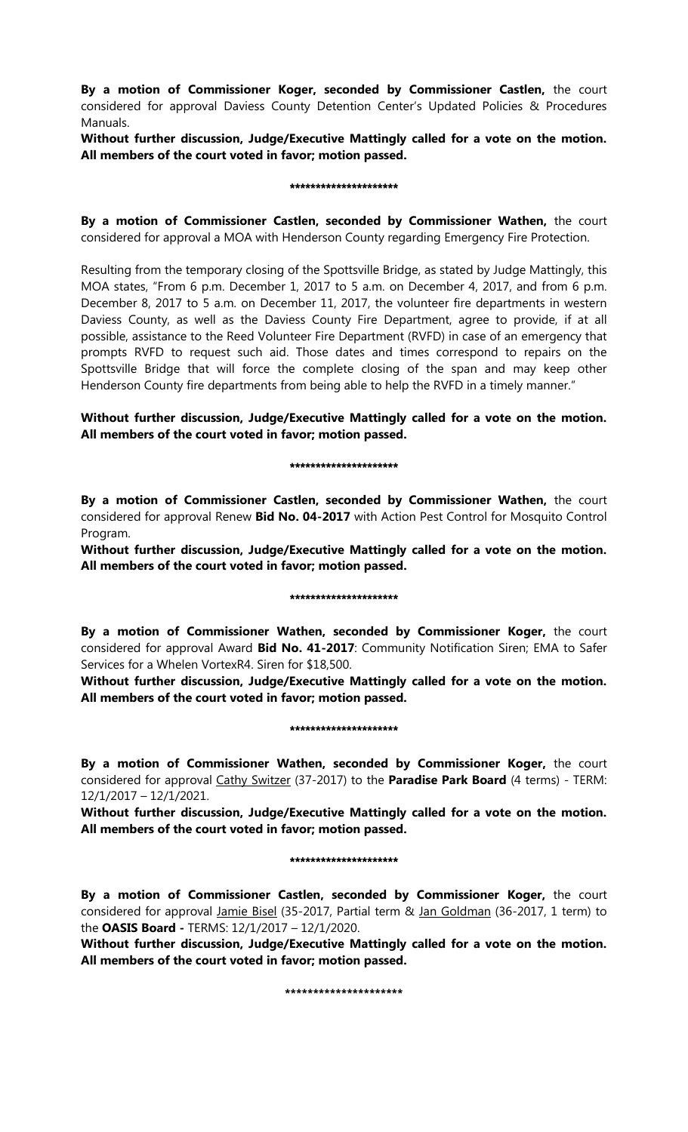**By a motion of Commissioner Koger, seconded by Commissioner Castlen,** the court considered for approval Daviess County Detention Center's Updated Policies & Procedures Manuals.

**Without further discussion, Judge/Executive Mattingly called for a vote on the motion. All members of the court voted in favor; motion passed.** 

#### \*\*\*\*\*\*\*\*\*\*\*\*\*\*\*\*\*\*\*

**By a motion of Commissioner Castlen, seconded by Commissioner Wathen,** the court considered for approval a MOA with Henderson County regarding Emergency Fire Protection.

Resulting from the temporary closing of the Spottsville Bridge, as stated by Judge Mattingly, this MOA states, "From 6 p.m. December 1, 2017 to 5 a.m. on December 4, 2017, and from 6 p.m. December 8, 2017 to 5 a.m. on December 11, 2017, the volunteer fire departments in western Daviess County, as well as the Daviess County Fire Department, agree to provide, if at all possible, assistance to the Reed Volunteer Fire Department (RVFD) in case of an emergency that prompts RVFD to request such aid. Those dates and times correspond to repairs on the Spottsville Bridge that will force the complete closing of the span and may keep other Henderson County fire departments from being able to help the RVFD in a timely manner."

**Without further discussion, Judge/Executive Mattingly called for a vote on the motion. All members of the court voted in favor; motion passed.** 

### \*\*\*\*\*\*\*\*\*\*\*\*\*\*\*\*\*\*\*\*

**By a motion of Commissioner Castlen, seconded by Commissioner Wathen,** the court considered for approval Renew **Bid No. 04-2017** with Action Pest Control for Mosquito Control Program.

**Without further discussion, Judge/Executive Mattingly called for a vote on the motion. All members of the court voted in favor; motion passed.** 

## \*\*\*\*\*\*\*\*\*\*\*\*\*\*\*\*\*\*\*\*\*\*

**By a motion of Commissioner Wathen, seconded by Commissioner Koger,** the court considered for approval Award **Bid No. 41-2017**: Community Notification Siren; EMA to Safer Services for a Whelen VortexR4. Siren for \$18,500.

**Without further discussion, Judge/Executive Mattingly called for a vote on the motion. All members of the court voted in favor; motion passed.** 

## \*\*\*\*\*\*\*\*\*\*\*\*\*\*\*\*\*\*\*\*\*

**By a motion of Commissioner Wathen, seconded by Commissioner Koger,** the court considered for approval Cathy Switzer (37-2017) to the **Paradise Park Board** (4 terms) - TERM: 12/1/2017 – 12/1/2021.

**Without further discussion, Judge/Executive Mattingly called for a vote on the motion. All members of the court voted in favor; motion passed.** 

#### \*\*\*\*\*\*\*\*\*\*\*\*\*\*\*\*\*\*\*\*\*

**By a motion of Commissioner Castlen, seconded by Commissioner Koger,** the court considered for approval *Jamie Bisel* (35-2017, Partial term & *Jan Goldman* (36-2017, 1 term) to the **OASIS Board -** TERMS: 12/1/2017 – 12/1/2020.

**Without further discussion, Judge/Executive Mattingly called for a vote on the motion. All members of the court voted in favor; motion passed.** 

**\*\*\*\*\*\*\*\*\*\*\*\*\*\*\*\*\*\*\*\*\***